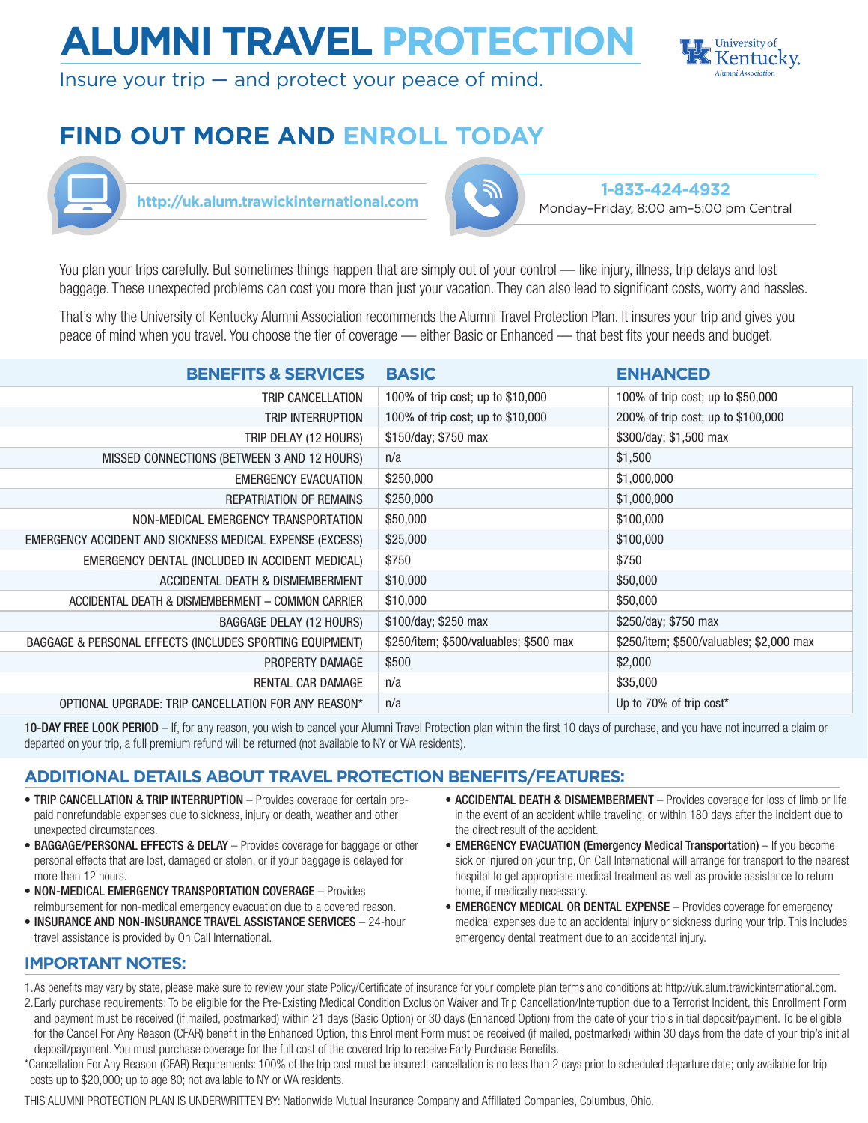# **ALUMNI TRAVEL PROTECTION**



Insure your trip  $-$  and protect your peace of mind.

# **FIND OUT MORE AND ENROLL TODAY**





**1-833-424-4932** http://uk.alum.trawickinternational.com<br>Monday–Friday, 8:00 am–5:00 pm Central

You plan your trips carefully. But sometimes things happen that are simply out of your control — like injury, illness, trip delays and lost baggage. These unexpected problems can cost you more than just your vacation. They can also lead to significant costs, worry and hassles.

That's why the University of Kentucky Alumni Association recommends the Alumni Travel Protection Plan. It insures your trip and gives you peace of mind when you travel. You choose the tier of coverage — either Basic or Enhanced — that best fits your needs and budget.

| <b>BENEFITS &amp; SERVICES</b>                           | <b>BASIC</b>                           | <b>ENHANCED</b>                          |
|----------------------------------------------------------|----------------------------------------|------------------------------------------|
| TRIP CANCELLATION                                        | 100% of trip cost; up to \$10,000      | 100% of trip cost; up to \$50,000        |
| TRIP INTERRUPTION                                        | 100% of trip cost; up to \$10,000      | 200% of trip cost; up to \$100,000       |
| TRIP DELAY (12 HOURS)                                    | \$150/day; \$750 max                   | \$300/day; \$1,500 max                   |
| MISSED CONNECTIONS (BETWEEN 3 AND 12 HOURS)              | n/a                                    | \$1,500                                  |
| <b>EMERGENCY EVACUATION</b>                              | \$250,000                              | \$1,000,000                              |
| <b>REPATRIATION OF REMAINS</b>                           | \$250,000                              | \$1,000,000                              |
| NON-MEDICAL EMERGENCY TRANSPORTATION                     | \$50,000                               | \$100,000                                |
| EMERGENCY ACCIDENT AND SICKNESS MEDICAL EXPENSE (EXCESS) | \$25,000                               | \$100,000                                |
| EMERGENCY DENTAL (INCLUDED IN ACCIDENT MEDICAL)          | \$750                                  | \$750                                    |
| ACCIDENTAL DEATH & DISMEMBERMENT                         | \$10,000                               | \$50,000                                 |
| ACCIDENTAL DEATH & DISMEMBERMENT - COMMON CARRIER        | \$10,000                               | \$50,000                                 |
| BAGGAGE DELAY (12 HOURS)                                 | \$100/day; \$250 max                   | \$250/day; \$750 max                     |
| BAGGAGE & PERSONAL EFFECTS (INCLUDES SPORTING EQUIPMENT) | \$250/item; \$500/valuables; \$500 max | \$250/item; \$500/valuables; \$2,000 max |
| PROPERTY DAMAGE                                          | \$500                                  | \$2,000                                  |
| RENTAL CAR DAMAGE                                        | n/a                                    | \$35,000                                 |
| OPTIONAL UPGRADE: TRIP CANCELLATION FOR ANY REASON*      | n/a                                    | Up to 70% of trip cost*                  |

10-DAY FREE LOOK PERIOD – If, for any reason, you wish to cancel your Alumni Travel Protection plan within the first 10 days of purchase, and you have not incurred a claim or departed on your trip, a full premium refund will be returned (not available to NY or WA residents).

# **ADDITIONAL DETAILS ABOUT TRAVEL PROTECTION BENEFITS/FEATURES:**

- TRIP CANCELLATION & TRIP INTERRUPTION Provides coverage for certain prepaid nonrefundable expenses due to sickness, injury or death, weather and other unexpected circumstances.
- BAGGAGE/PERSONAL EFFECTS & DELAY Provides coverage for baggage or other personal effects that are lost, damaged or stolen, or if your baggage is delayed for more than 12 hours.
- NON-MEDICAL EMERGENCY TRANSPORTATION COVERAGE Provides reimbursement for non-medical emergency evacuation due to a covered reason.
- INSURANCE AND NON-INSURANCE TRAVEL ASSISTANCE SERVICES 24-hour travel assistance is provided by On Call International.
- ACCIDENTAL DEATH & DISMEMBERMENT Provides coverage for loss of limb or life in the event of an accident while traveling, or within 180 days after the incident due to the direct result of the accident.
- EMERGENCY EVACUATION (Emergency Medical Transportation) If you become sick or injured on your trip, On Call International will arrange for transport to the nearest hospital to get appropriate medical treatment as well as provide assistance to return home, if medically necessary.
- **EMERGENCY MEDICAL OR DENTAL EXPENSE** Provides coverage for emergency medical expenses due to an accidental injury or sickness during your trip. This includes emergency dental treatment due to an accidental injury.

## **IMPORTANT NOTES:**

- 1.As benefits may vary by state, please make sure to review your state Policy/Certificate of insurance for your complete plan terms and conditions at: http://uk.alum.trawickinternational.com.
- 2.Early purchase requirements: To be eligible for the Pre-Existing Medical Condition Exclusion Waiver and Trip Cancellation/Interruption due to a Terrorist Incident, this Enrollment Form and payment must be received (if mailed, postmarked) within 21 days (Basic Option) or 30 days (Enhanced Option) from the date of your trip's initial deposit/payment. To be eligible for the Cancel For Any Reason (CFAR) benefit in the Enhanced Option, this Enrollment Form must be received (if mailed, postmarked) within 30 days from the date of your trip's initial deposit/payment. You must purchase coverage for the full cost of the covered trip to receive Early Purchase Benefits.
- \*Cancellation For Any Reason (CFAR) Requirements: 100% of the trip cost must be insured; cancellation is no less than 2 days prior to scheduled departure date; only available for trip costs up to \$20,000; up to age 80; not available to NY or WA residents.

THIS ALUMNI PROTECTION PLAN IS UNDERWRITTEN BY: Nationwide Mutual Insurance Company and Affiliated Companies, Columbus, Ohio.